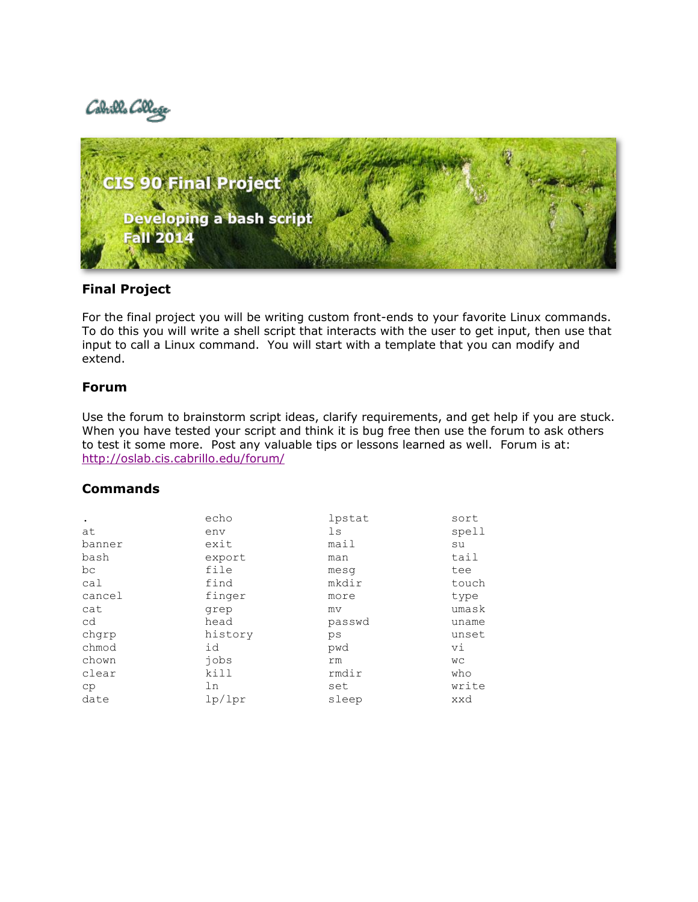



#### **Final Project**

For the final project you will be writing custom front-ends to your favorite Linux commands. To do this you will write a shell script that interacts with the user to get input, then use that input to call a Linux command. You will start with a template that you can modify and extend.

#### **Forum**

Use the forum to brainstorm script ideas, clarify requirements, and get help if you are stuck. When you have tested your script and think it is bug free then use the forum to ask others to test it some more. Post any valuable tips or lessons learned as well. Forum is at: <http://oslab.cis.cabrillo.edu/forum/>

#### **Commands**

|        | echo    | lpstat | sort      |
|--------|---------|--------|-----------|
| at     | env     | 1s     | spell     |
| banner | exit    | mail   | su        |
| bash   | export  | man    | tail      |
| bc     | file    | mesq   | tee       |
| cal    | find    | mkdir  | touch     |
| cancel | finger  | more   | type      |
| cat    | grep    | mv     | umask     |
| cd     | head    | passwd | uname     |
| chqrp  | history | ps     | unset     |
| chmod  | id      | pwd    | vi        |
| chown  | jobs    | rm     | <b>WC</b> |
| clear  | kill    | rmdir  | who       |
| cp     | ln      | set    | write     |
| date   | lp/lpr  | sleep  | xxd       |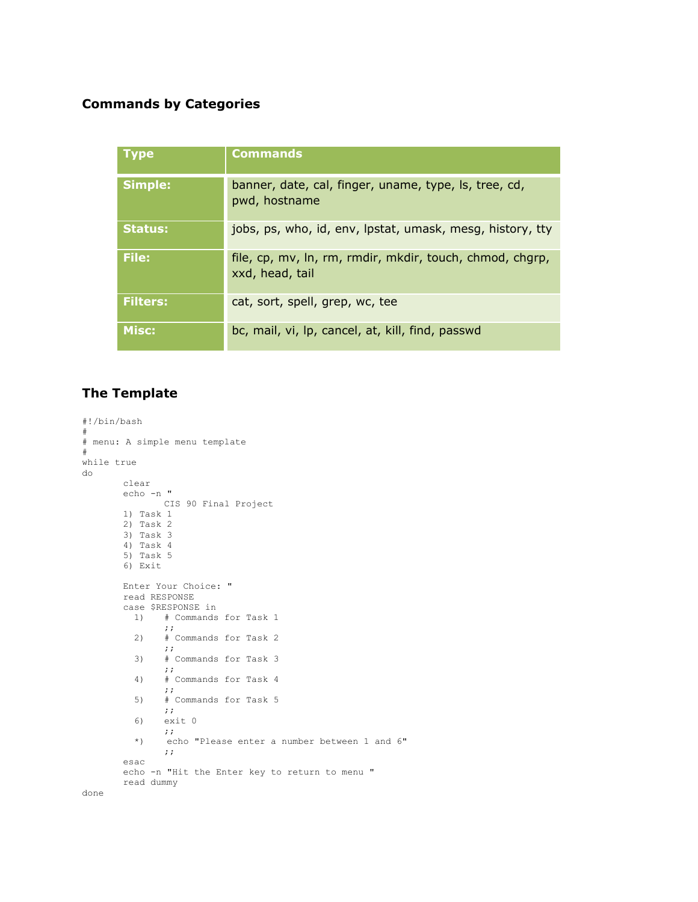### **Commands by Categories**

| <b>Type</b>     | <b>Commands</b>                                                             |
|-----------------|-----------------------------------------------------------------------------|
| <b>Simple:</b>  | banner, date, cal, finger, uname, type, ls, tree, cd,<br>pwd, hostname      |
| <b>Status:</b>  | jobs, ps, who, id, env, lpstat, umask, mesg, history, tty                   |
| File:           | file, cp, mv, ln, rm, rmdir, mkdir, touch, chmod, chgrp,<br>xxd, head, tail |
| <b>Filters:</b> | cat, sort, spell, grep, wc, tee                                             |
| Misc:           | bc, mail, vi, lp, cancel, at, kill, find, passwd                            |

## **The Template**

```
#!/bin/bash
#
# menu: A simple menu template
#
while true
do
       clear
      echo -n "
             CIS 90 Final Project
       1) Task 1
       2) Task 2
       3) Task 3
       4) Task 4
       5) Task 5
       6) Exit
       Enter Your Choice: "
       read RESPONSE
       case $RESPONSE in
         1) # Commands for Task 1
              ;;
          2) # Commands for Task 2
              ;;
          3) # Commands for Task 3
              ;;
          4) # Commands for Task 4
              ;;
          5) # Commands for Task 5
              ;;
          6) exit 0
              ;;
          *) echo "Please enter a number between 1 and 6"
              ;;
       esac
       echo -n "Hit the Enter key to return to menu "
       read dummy
done
```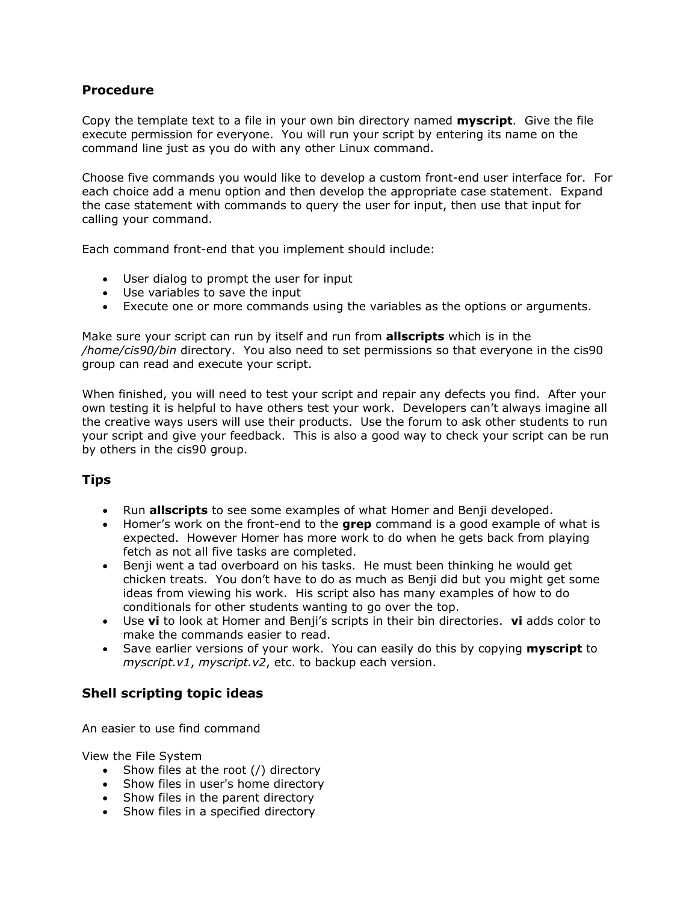#### **Procedure**

Copy the template text to a file in your own bin directory named **myscript**. Give the file execute permission for everyone. You will run your script by entering its name on the command line just as you do with any other Linux command.

Choose five commands you would like to develop a custom front-end user interface for. For each choice add a menu option and then develop the appropriate case statement. Expand the case statement with commands to query the user for input, then use that input for calling your command.

Each command front-end that you implement should include:

- User dialog to prompt the user for input
- Use variables to save the input
- Execute one or more commands using the variables as the options or arguments.

Make sure your script can run by itself and run from **allscripts** which is in the */home/cis90/bin* directory. You also need to set permissions so that everyone in the cis90 group can read and execute your script.

When finished, you will need to test your script and repair any defects you find. After your own testing it is helpful to have others test your work. Developers can't always imagine all the creative ways users will use their products. Use the forum to ask other students to run your script and give your feedback. This is also a good way to check your script can be run by others in the cis90 group.

### **Tips**

- Run **allscripts** to see some examples of what Homer and Benji developed.
- Homer's work on the front-end to the **grep** command is a good example of what is expected. However Homer has more work to do when he gets back from playing fetch as not all five tasks are completed.
- Benji went a tad overboard on his tasks. He must been thinking he would get chicken treats. You don't have to do as much as Benji did but you might get some ideas from viewing his work. His script also has many examples of how to do conditionals for other students wanting to go over the top.
- Use **vi** to look at Homer and Benji's scripts in their bin directories. **vi** adds color to make the commands easier to read.
- Save earlier versions of your work. You can easily do this by copying **myscript** to *myscript.v1*, *myscript.v2*, etc. to backup each version.

### **Shell scripting topic ideas**

An easier to use find command

View the File System

- $\bullet$  Show files at the root (/) directory
- Show files in user's home directory
- Show files in the parent directory
- $\bullet$  Show files in a specified directory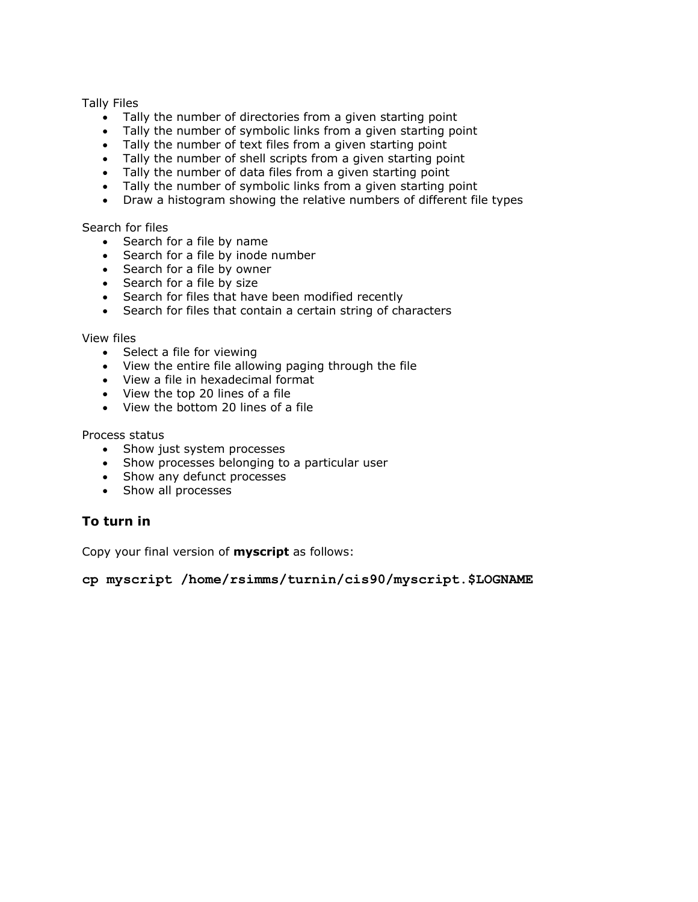Tally Files

- Tally the number of directories from a given starting point
- Tally the number of symbolic links from a given starting point
- Tally the number of text files from a given starting point
- Tally the number of shell scripts from a given starting point
- Tally the number of data files from a given starting point
- $\bullet$  Tally the number of symbolic links from a given starting point
- Draw a histogram showing the relative numbers of different file types

Search for files

- Search for a file by name
- Search for a file by inode number
- Search for a file by owner
- Search for a file by size
- Search for files that have been modified recently
- Search for files that contain a certain string of characters

View files

- Select a file for viewing
- View the entire file allowing paging through the file
- View a file in hexadecimal format
- View the top 20 lines of a file
- View the bottom 20 lines of a file

Process status

- Show just system processes
- Show processes belonging to a particular user
- Show any defunct processes
- Show all processes

#### **To turn in**

Copy your final version of **myscript** as follows:

**cp myscript /home/rsimms/turnin/cis90/myscript.\$LOGNAME**